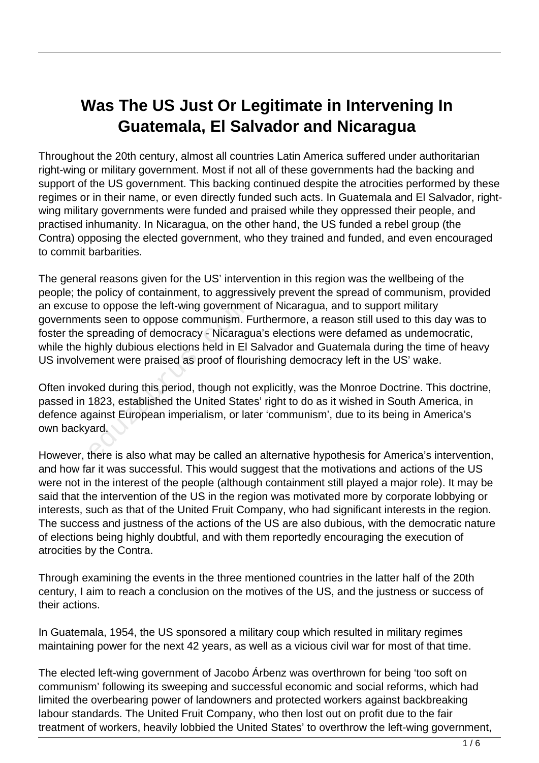# **Was The US Just Or Legitimate in Intervening In Guatemala, El Salvador and Nicaragua**

Throughout the 20th century, almost all countries Latin America suffered under authoritarian right-wing or military government. Most if not all of these governments had the backing and support of the US government. This backing continued despite the atrocities performed by these regimes or in their name, or even directly funded such acts. In Guatemala and El Salvador, rightwing military governments were funded and praised while they oppressed their people, and practised inhumanity. In Nicaragua, on the other hand, the US funded a rebel group (the Contra) opposing the elected government, who they trained and funded, and even encouraged to commit barbarities.

The general reasons given for the US' intervention in this region was the wellbeing of the people; the policy of containment, to aggressively prevent the spread of communism, provided an excuse to oppose the left-wing government of Nicaragua, and to support military governments seen to oppose communism. Furthermore, a reason still used to this day was to foster the spreading of democracy - Nicaragua's elections were defamed as undemocratic, while the highly dubious elections held in El Salvador and Guatemala during the time of heavy US involvement were praised as proof of flourishing democracy left in the US' wake. to oppose the left-wing governments seen to oppose communism. F<br>spreading of democracy - Nicarag<br>iighly dubious elections held in El<br>ement were praised as proof of flot<br>ked during this period, though not<br>1823, established

Often invoked during this period, though not explicitly, was the Monroe Doctrine. This doctrine, passed in 1823, established the United States' right to do as it wished in South America, in defence against European imperialism, or later 'communism', due to its being in America's own backyard.

However, there is also what may be called an alternative hypothesis for America's intervention, and how far it was successful. This would suggest that the motivations and actions of the US were not in the interest of the people (although containment still played a major role). It may be said that the intervention of the US in the region was motivated more by corporate lobbying or interests, such as that of the United Fruit Company, who had significant interests in the region. The success and justness of the actions of the US are also dubious, with the democratic nature of elections being highly doubtful, and with them reportedly encouraging the execution of atrocities by the Contra.

Through examining the events in the three mentioned countries in the latter half of the 20th century, I aim to reach a conclusion on the motives of the US, and the justness or success of their actions.

In Guatemala, 1954, the US sponsored a military coup which resulted in military regimes maintaining power for the next 42 years, as well as a vicious civil war for most of that time.

The elected left-wing government of Jacobo Árbenz was overthrown for being 'too soft on communism' following its sweeping and successful economic and social reforms, which had limited the overbearing power of landowners and protected workers against backbreaking labour standards. The United Fruit Company, who then lost out on profit due to the fair treatment of workers, heavily lobbied the United States' to overthrow the left-wing government,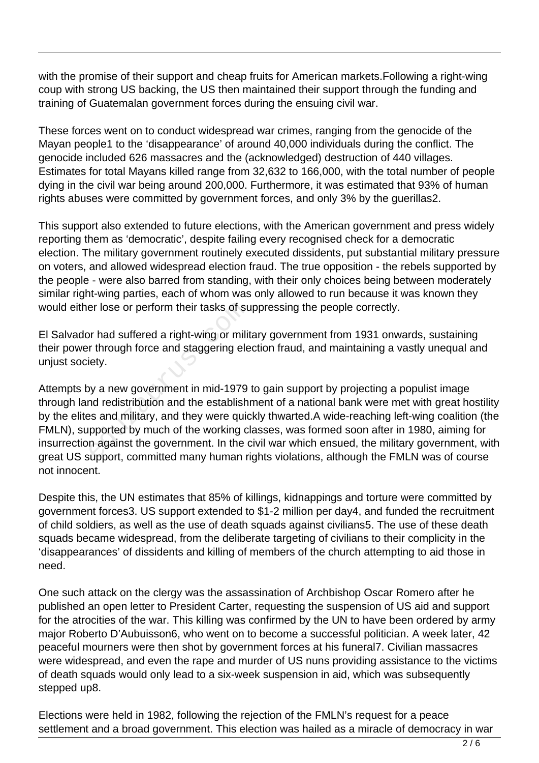with the promise of their support and cheap fruits for American markets.Following a right-wing coup with strong US backing, the US then maintained their support through the funding and training of Guatemalan government forces during the ensuing civil war.

These forces went on to conduct widespread war crimes, ranging from the genocide of the Mayan people1 to the 'disappearance' of around 40,000 individuals during the conflict. The genocide included 626 massacres and the (acknowledged) destruction of 440 villages. Estimates for total Mayans killed range from 32,632 to 166,000, with the total number of people dying in the civil war being around 200,000. Furthermore, it was estimated that 93% of human rights abuses were committed by government forces, and only 3% by the guerillas2.

This support also extended to future elections, with the American government and press widely reporting them as 'democratic', despite failing every recognised check for a democratic election. The military government routinely executed dissidents, put substantial military pressure on voters, and allowed widespread election fraud. The true opposition - the rebels supported by the people - were also barred from standing, with their only choices being between moderately similar right-wing parties, each of whom was only allowed to run because it was known they would either lose or perform their tasks of suppressing the people correctly.

El Salvador had suffered a right-wing or military government from 1931 onwards, sustaining their power through force and staggering election fraud, and maintaining a vastly unequal and unjust society.

Attempts by a new government in mid-1979 to gain support by projecting a populist image through land redistribution and the establishment of a national bank were met with great hostility by the elites and military, and they were quickly thwarted.A wide-reaching left-wing coalition (the FMLN), supported by much of the working classes, was formed soon after in 1980, aiming for insurrection against the government. In the civil war which ensued, the military government, with great US support, committed many human rights violations, although the FMLN was of course not innocent. er lose or perform their tasks of su<br>or had suffered a right-wing or milit<br>r through force and staggering ele<br>lety.<br>by a new government in mid-1979<br>nd redistribution and the establish<br>as and military, and they were quic<br>pp

Despite this, the UN estimates that 85% of killings, kidnappings and torture were committed by government forces3. US support extended to \$1-2 million per day4, and funded the recruitment of child soldiers, as well as the use of death squads against civilians5. The use of these death squads became widespread, from the deliberate targeting of civilians to their complicity in the 'disappearances' of dissidents and killing of members of the church attempting to aid those in need.

One such attack on the clergy was the assassination of Archbishop Oscar Romero after he published an open letter to President Carter, requesting the suspension of US aid and support for the atrocities of the war. This killing was confirmed by the UN to have been ordered by army major Roberto D'Aubuisson6, who went on to become a successful politician. A week later, 42 peaceful mourners were then shot by government forces at his funeral7. Civilian massacres were widespread, and even the rape and murder of US nuns providing assistance to the victims of death squads would only lead to a six-week suspension in aid, which was subsequently stepped up8.

Elections were held in 1982, following the rejection of the FMLN's request for a peace settlement and a broad government. This election was hailed as a miracle of democracy in war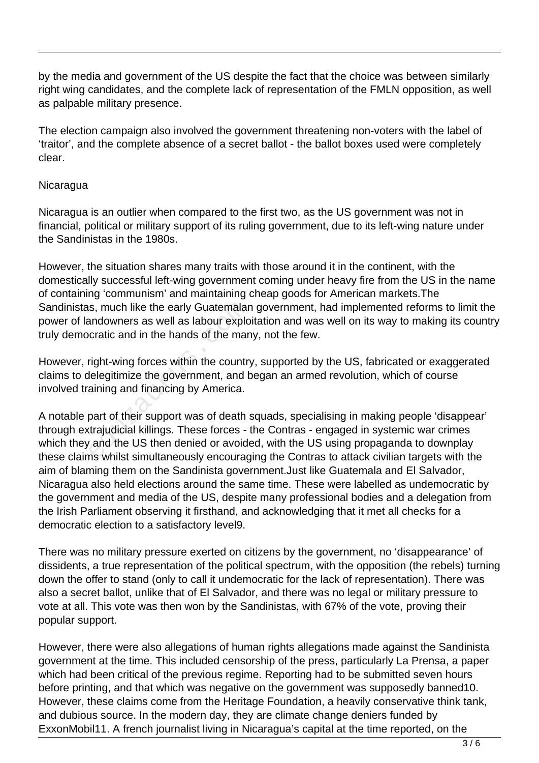by the media and government of the US despite the fact that the choice was between similarly right wing candidates, and the complete lack of representation of the FMLN opposition, as well as palpable military presence.

The election campaign also involved the government threatening non-voters with the label of 'traitor', and the complete absence of a secret ballot - the ballot boxes used were completely clear.

## **Nicaragua**

Nicaragua is an outlier when compared to the first two, as the US government was not in financial, political or military support of its ruling government, due to its left-wing nature under the Sandinistas in the 1980s.

However, the situation shares many traits with those around it in the continent, with the domestically successful left-wing government coming under heavy fire from the US in the name of containing 'communism' and maintaining cheap goods for American markets.The Sandinistas, much like the early Guatemalan government, had implemented reforms to limit the power of landowners as well as labour exploitation and was well on its way to making its country truly democratic and in the hands of the many, not the few.

However, right-wing forces within the country, supported by the US, fabricated or exaggerated claims to delegitimize the government, and began an armed revolution, which of course involved training and financing by America.

A notable part of their support was of death squads, specialising in making people 'disappear' through extrajudicial killings. These forces - the Contras - engaged in systemic war crimes which they and the US then denied or avoided, with the US using propaganda to downplay these claims whilst simultaneously encouraging the Contras to attack civilian targets with the aim of blaming them on the Sandinista government.Just like Guatemala and El Salvador, Nicaragua also held elections around the same time. These were labelled as undemocratic by the government and media of the US, despite many professional bodies and a delegation from the Irish Parliament observing it firsthand, and acknowledging that it met all checks for a democratic election to a satisfactory level9. s, much like the early Guatemalar<br>andowners as well as labour explc<br>cratic and in the hands of the mar<br>right-wing forces within the countr<br>lelegitimize the government, and k<br>aining and financing by America.<br>part of their s

There was no military pressure exerted on citizens by the government, no 'disappearance' of dissidents, a true representation of the political spectrum, with the opposition (the rebels) turning down the offer to stand (only to call it undemocratic for the lack of representation). There was also a secret ballot, unlike that of El Salvador, and there was no legal or military pressure to vote at all. This vote was then won by the Sandinistas, with 67% of the vote, proving their popular support.

However, there were also allegations of human rights allegations made against the Sandinista government at the time. This included censorship of the press, particularly La Prensa, a paper which had been critical of the previous regime. Reporting had to be submitted seven hours before printing, and that which was negative on the government was supposedly banned10. However, these claims come from the Heritage Foundation, a heavily conservative think tank, and dubious source. In the modern day, they are climate change deniers funded by ExxonMobil11. A french journalist living in Nicaragua's capital at the time reported, on the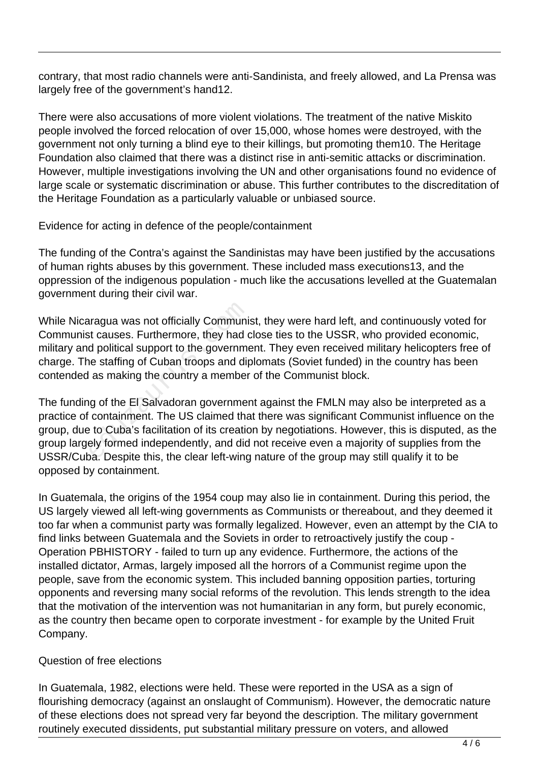contrary, that most radio channels were anti-Sandinista, and freely allowed, and La Prensa was largely free of the government's hand12.

There were also accusations of more violent violations. The treatment of the native Miskito people involved the forced relocation of over 15,000, whose homes were destroyed, with the government not only turning a blind eye to their killings, but promoting them10. The Heritage Foundation also claimed that there was a distinct rise in anti-semitic attacks or discrimination. However, multiple investigations involving the UN and other organisations found no evidence of large scale or systematic discrimination or abuse. This further contributes to the discreditation of the Heritage Foundation as a particularly valuable or unbiased source.

Evidence for acting in defence of the people/containment

The funding of the Contra's against the Sandinistas may have been justified by the accusations of human rights abuses by this government. These included mass executions13, and the oppression of the indigenous population - much like the accusations levelled at the Guatemalan government during their civil war.

While Nicaragua was not officially Communist, they were hard left, and continuously voted for Communist causes. Furthermore, they had close ties to the USSR, who provided economic, military and political support to the government. They even received military helicopters free of charge. The staffing of Cuban troops and diplomats (Soviet funded) in the country has been contended as making the country a member of the Communist block. ragua was not officially Communi<br>it causes. Furthermore, they had d<br>d political support to the governme<br>ne staffing of Cuban troops and dir<br>as making the country a member<br>g of the El Salvadoran governmer<br>containment. The U

The funding of the El Salvadoran government against the FMLN may also be interpreted as a practice of containment. The US claimed that there was significant Communist influence on the group, due to Cuba's facilitation of its creation by negotiations. However, this is disputed, as the group largely formed independently, and did not receive even a majority of supplies from the USSR/Cuba. Despite this, the clear left-wing nature of the group may still qualify it to be opposed by containment.

In Guatemala, the origins of the 1954 coup may also lie in containment. During this period, the US largely viewed all left-wing governments as Communists or thereabout, and they deemed it too far when a communist party was formally legalized. However, even an attempt by the CIA to find links between Guatemala and the Soviets in order to retroactively justify the coup - Operation PBHISTORY - failed to turn up any evidence. Furthermore, the actions of the installed dictator, Armas, largely imposed all the horrors of a Communist regime upon the people, save from the economic system. This included banning opposition parties, torturing opponents and reversing many social reforms of the revolution. This lends strength to the idea that the motivation of the intervention was not humanitarian in any form, but purely economic, as the country then became open to corporate investment - for example by the United Fruit Company.

## Question of free elections

In Guatemala, 1982, elections were held. These were reported in the USA as a sign of flourishing democracy (against an onslaught of Communism). However, the democratic nature of these elections does not spread very far beyond the description. The military government routinely executed dissidents, put substantial military pressure on voters, and allowed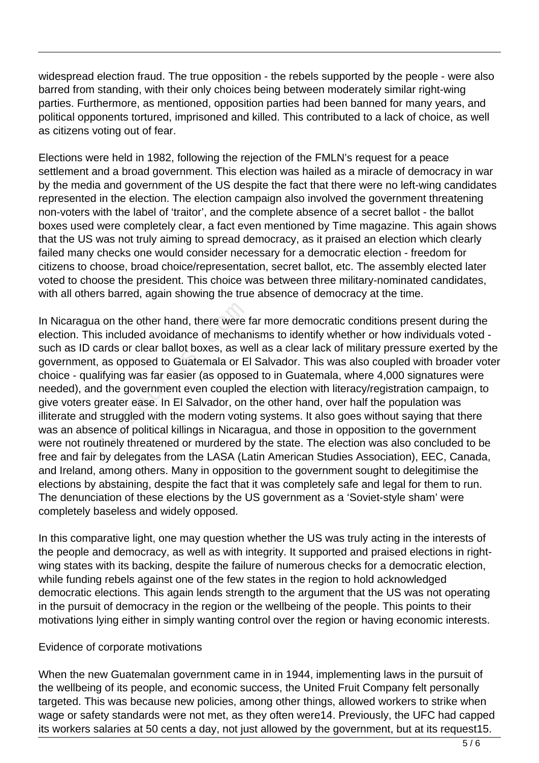widespread election fraud. The true opposition - the rebels supported by the people - were also barred from standing, with their only choices being between moderately similar right-wing parties. Furthermore, as mentioned, opposition parties had been banned for many years, and political opponents tortured, imprisoned and killed. This contributed to a lack of choice, as well as citizens voting out of fear.

Elections were held in 1982, following the rejection of the FMLN's request for a peace settlement and a broad government. This election was hailed as a miracle of democracy in war by the media and government of the US despite the fact that there were no left-wing candidates represented in the election. The election campaign also involved the government threatening non-voters with the label of 'traitor', and the complete absence of a secret ballot - the ballot boxes used were completely clear, a fact even mentioned by Time magazine. This again shows that the US was not truly aiming to spread democracy, as it praised an election which clearly failed many checks one would consider necessary for a democratic election - freedom for citizens to choose, broad choice/representation, secret ballot, etc. The assembly elected later voted to choose the president. This choice was between three military-nominated candidates, with all others barred, again showing the true absence of democracy at the time.

In Nicaragua on the other hand, there were far more democratic conditions present during the election. This included avoidance of mechanisms to identify whether or how individuals voted such as ID cards or clear ballot boxes, as well as a clear lack of military pressure exerted by the government, as opposed to Guatemala or El Salvador. This was also coupled with broader voter choice - qualifying was far easier (as opposed to in Guatemala, where 4,000 signatures were needed), and the government even coupled the election with literacy/registration campaign, to give voters greater ease. In El Salvador, on the other hand, over half the population was illiterate and struggled with the modern voting systems. It also goes without saying that there was an absence of political killings in Nicaragua, and those in opposition to the government were not routinely threatened or murdered by the state. The election was also concluded to be free and fair by delegates from the LASA (Latin American Studies Association), EEC, Canada, and Ireland, among others. Many in opposition to the government sought to delegitimise the elections by abstaining, despite the fact that it was completely safe and legal for them to run. The denunciation of these elections by the US government as a 'Soviet-style sham' were completely baseless and widely opposed. ua on the other hand, there were this included avoidance of mecharm<br>
cards or clear ballot boxes, as we<br>
nt, as opposed to Guatemala or El<br>
ualifying was far easier (as oppose<br>
und the government even coupled<br>
s greater ea

In this comparative light, one may question whether the US was truly acting in the interests of the people and democracy, as well as with integrity. It supported and praised elections in rightwing states with its backing, despite the failure of numerous checks for a democratic election, while funding rebels against one of the few states in the region to hold acknowledged democratic elections. This again lends strength to the argument that the US was not operating in the pursuit of democracy in the region or the wellbeing of the people. This points to their motivations lying either in simply wanting control over the region or having economic interests.

### Evidence of corporate motivations

When the new Guatemalan government came in in 1944, implementing laws in the pursuit of the wellbeing of its people, and economic success, the United Fruit Company felt personally targeted. This was because new policies, among other things, allowed workers to strike when wage or safety standards were not met, as they often were14. Previously, the UFC had capped its workers salaries at 50 cents a day, not just allowed by the government, but at its request15.